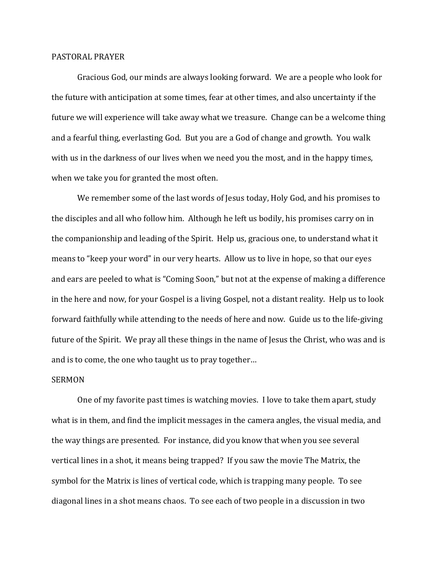## PASTORAL PRAYER

 Gracious God, our minds are always looking forward. We are a people who look for the future with anticipation at some times, fear at other times, and also uncertainty if the future we will experience will take away what we treasure. Change can be a welcome thing and a fearful thing, everlasting God. But you are a God of change and growth. You walk with us in the darkness of our lives when we need you the most, and in the happy times, when we take you for granted the most often.

 We remember some of the last words of Jesus today, Holy God, and his promises to the disciples and all who follow him. Although he left us bodily, his promises carry on in the companionship and leading of the Spirit. Help us, gracious one, to understand what it means to "keep your word" in our very hearts. Allow us to live in hope, so that our eyes and ears are peeled to what is "Coming Soon," but not at the expense of making a difference in the here and now, for your Gospel is a living Gospel, not a distant reality. Help us to look forward faithfully while attending to the needs of here and now. Guide us to the life-giving future of the Spirit. We pray all these things in the name of Jesus the Christ, who was and is and is to come, the one who taught us to pray together…

## SERMON

 One of my favorite past times is watching movies. I love to take them apart, study what is in them, and find the implicit messages in the camera angles, the visual media, and the way things are presented. For instance, did you know that when you see several vertical lines in a shot, it means being trapped? If you saw the movie The Matrix, the symbol for the Matrix is lines of vertical code, which is trapping many people. To see diagonal lines in a shot means chaos. To see each of two people in a discussion in two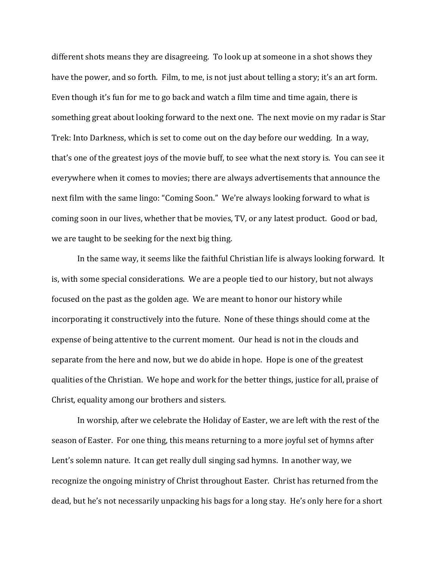different shots means they are disagreeing. To look up at someone in a shot shows they have the power, and so forth. Film, to me, is not just about telling a story; it's an art form. Even though it's fun for me to go back and watch a film time and time again, there is something great about looking forward to the next one. The next movie on my radar is Star Trek: Into Darkness, which is set to come out on the day before our wedding. In a way, that's one of the greatest joys of the movie buff, to see what the next story is. You can see it everywhere when it comes to movies; there are always advertisements that announce the next film with the same lingo: "Coming Soon." We're always looking forward to what is coming soon in our lives, whether that be movies, TV, or any latest product. Good or bad, we are taught to be seeking for the next big thing.

 In the same way, it seems like the faithful Christian life is always looking forward. It is, with some special considerations. We are a people tied to our history, but not always focused on the past as the golden age. We are meant to honor our history while incorporating it constructively into the future. None of these things should come at the expense of being attentive to the current moment. Our head is not in the clouds and separate from the here and now, but we do abide in hope. Hope is one of the greatest qualities of the Christian. We hope and work for the better things, justice for all, praise of Christ, equality among our brothers and sisters.

In worship, after we celebrate the Holiday of Easter, we are left with the rest of the season of Easter. For one thing, this means returning to a more joyful set of hymns after Lent's solemn nature. It can get really dull singing sad hymns. In another way, we recognize the ongoing ministry of Christ throughout Easter. Christ has returned from the dead, but he's not necessarily unpacking his bags for a long stay. He's only here for a short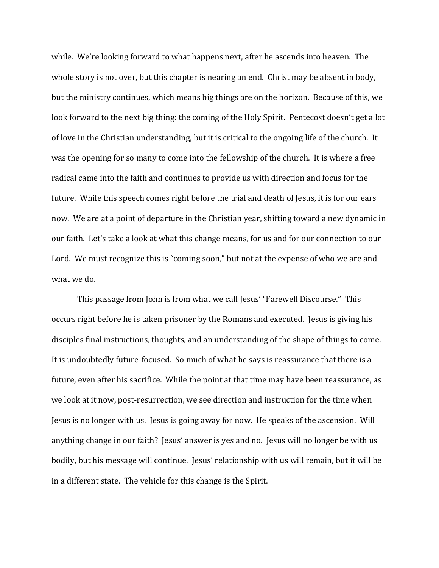while. We're looking forward to what happens next, after he ascends into heaven. The whole story is not over, but this chapter is nearing an end. Christ may be absent in body, but the ministry continues, which means big things are on the horizon. Because of this, we look forward to the next big thing: the coming of the Holy Spirit. Pentecost doesn't get a lot of love in the Christian understanding, but it is critical to the ongoing life of the church. It was the opening for so many to come into the fellowship of the church. It is where a free radical came into the faith and continues to provide us with direction and focus for the future. While this speech comes right before the trial and death of Jesus, it is for our ears now. We are at a point of departure in the Christian year, shifting toward a new dynamic in our faith. Let's take a look at what this change means, for us and for our connection to our Lord. We must recognize this is "coming soon," but not at the expense of who we are and what we do.

 This passage from John is from what we call Jesus' "Farewell Discourse." This occurs right before he is taken prisoner by the Romans and executed. Jesus is giving his disciples final instructions, thoughts, and an understanding of the shape of things to come. It is undoubtedly future-focused. So much of what he says is reassurance that there is a future, even after his sacrifice. While the point at that time may have been reassurance, as we look at it now, post-resurrection, we see direction and instruction for the time when Jesus is no longer with us. Jesus is going away for now. He speaks of the ascension. Will anything change in our faith? Jesus' answer is yes and no. Jesus will no longer be with us bodily, but his message will continue. Jesus' relationship with us will remain, but it will be in a different state. The vehicle for this change is the Spirit.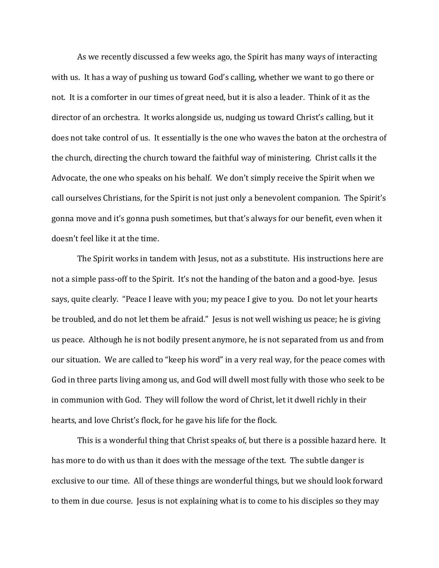As we recently discussed a few weeks ago, the Spirit has many ways of interacting with us. It has a way of pushing us toward God's calling, whether we want to go there or not. It is a comforter in our times of great need, but it is also a leader. Think of it as the director of an orchestra. It works alongside us, nudging us toward Christ's calling, but it does not take control of us. It essentially is the one who waves the baton at the orchestra of the church, directing the church toward the faithful way of ministering. Christ calls it the Advocate, the one who speaks on his behalf. We don't simply receive the Spirit when we call ourselves Christians, for the Spirit is not just only a benevolent companion. The Spirit's gonna move and it's gonna push sometimes, but that's always for our benefit, even when it doesn't feel like it at the time.

The Spirit works in tandem with Jesus, not as a substitute. His instructions here are not a simple pass-off to the Spirit. It's not the handing of the baton and a good-bye. Jesus says, quite clearly. "Peace I leave with you; my peace I give to you. Do not let your hearts be troubled, and do not let them be afraid." Jesus is not well wishing us peace; he is giving us peace. Although he is not bodily present anymore, he is not separated from us and from our situation. We are called to "keep his word" in a very real way, for the peace comes with God in three parts living among us, and God will dwell most fully with those who seek to be in communion with God. They will follow the word of Christ, let it dwell richly in their hearts, and love Christ's flock, for he gave his life for the flock.

 This is a wonderful thing that Christ speaks of, but there is a possible hazard here. It has more to do with us than it does with the message of the text. The subtle danger is exclusive to our time. All of these things are wonderful things, but we should look forward to them in due course. Jesus is not explaining what is to come to his disciples so they may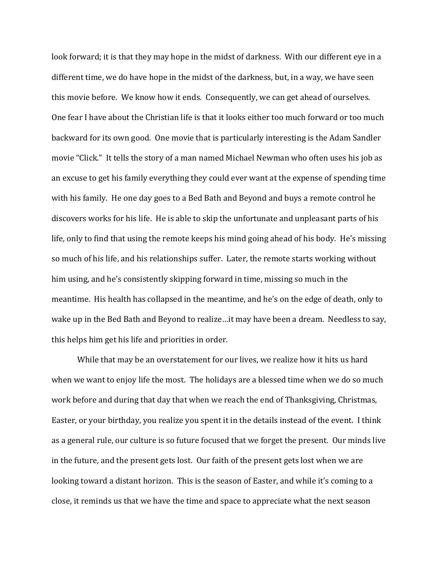look forward; it is that they may hope in the midst of darkness. With our different eye in a different time, we do have hope in the midst of the darkness, but, in a way, we have seen this movie before. We know how it ends. Consequently, we can get ahead of ourselves. One fear I have about the Christian life is that it looks either too much forward or too much backward for its own good. One movie that is particularly interesting is the Adam Sandler movie "Click." It tells the story of a man named Michael Newman who often uses his job as an excuse to get his family everything they could ever want at the expense of spending time with his family. He one day goes to a Bed Bath and Beyond and buys a remote control he discovers works for his life. He is able to skip the unfortunate and unpleasant parts of his life, only to find that using the remote keeps his mind going ahead of his body. He's missing so much of his life, and his relationships suffer. Later, the remote starts working without him using, and he's consistently skipping forward in time, missing so much in the meantime. His health has collapsed in the meantime, and he's on the edge of death, only to wake up in the Bed Bath and Beyond to realize…it may have been a dream. Needless to say, this helps him get his life and priorities in order.

 While that may be an overstatement for our lives, we realize how it hits us hard when we want to enjoy life the most. The holidays are a blessed time when we do so much work before and during that day that when we reach the end of Thanksgiving, Christmas, Easter, or your birthday, you realize you spent it in the details instead of the event. I think as a general rule, our culture is so future focused that we forget the present. Our minds live in the future, and the present gets lost. Our faith of the present gets lost when we are looking toward a distant horizon. This is the season of Easter, and while it's coming to a close, it reminds us that we have the time and space to appreciate what the next season